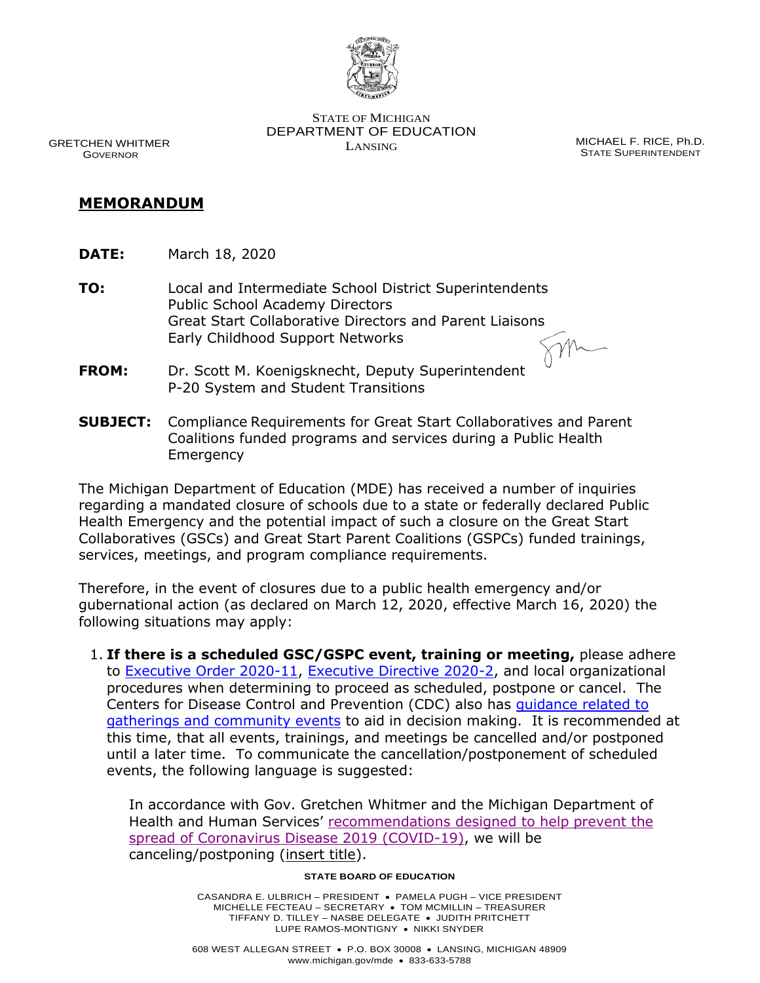

 DEPARTMENT OF EDUCATION STATE OF MICHIGAN GRETCHEN WHITMER<br>GOVERNOR MICHAEL F. RICE, Ph.D.<br>GOVERNOR STATE SUPERINTENDENT

**STATE SUPERINTENDENT** 

## **MEMORANDUM**

- **DATE:** March 18, 2020
- Great Start Collaborative Directors and Parent Liaisons **TO:** Local and Intermediate School District Superintendents Public School Academy Directors Early Childhood Support Networks

 **FROM:** Dr. Scott M. Koenigsknecht, Deputy Superintendent P-20 System and Student Transitions

 **SUBJECT:** Compliance Requirements for Great Start Collaboratives and Parent Coalitions funded programs and services during a Public Health Emergency

 Health Emergency and the potential impact of such a closure on the Great Start services, meetings, and program compliance requirements. The Michigan Department of Education (MDE) has received a number of inquiries regarding a mandated closure of schools due to a state or federally declared Public Collaboratives (GSCs) and Great Start Parent Coalitions (GSPCs) funded trainings,

 Therefore, in the event of closures due to a public health emergency and/or gubernational action (as declared on March 12, 2020, effective March 16, 2020) the following situations may apply:

 1. **If there is a scheduled GSC/GSPC event, training or meeting,** please adhere procedures when determining to proceed as scheduled, postpone or cancel. The [gatherings and community events](https://www.cdc.gov/coronavirus/2019-ncov/community/large-events/mass-gatherings-ready-for-covid-19.html) to aid in decision making. It is recommended at this time, that all events, trainings, and meetings be cancelled and/or postponed until a later time. To communicate the cancellation/postponement of scheduled to [Executive Order 2020-11,](https://www.michigan.gov/whitmer/0,9309,7-387-90499_90705-521890--,00.html) [Executive Directive 2020-2,](https://www.michigan.gov/whitmer/0,9309,7-387-90499_90704-521677--,00.html) and local organizational Centers for Disease Control and Prevention (CDC) also has [guidance related to](https://www.cdc.gov/coronavirus/2019-ncov/community/large-events/mass-gatherings-ready-for-covid-19.html)  events, the following language is suggested:

 In accordance with Gov. Gretchen Whitmer and the Michigan Department of Health and Human Services' recommendations designed to help prevent the [spread of Coronavirus Disease 2019 \(COVID-19\),](https://gcc01.safelinks.protection.outlook.com/?url=https%3A%2F%2Fwww.michigan.gov%2Fcoronavirus%2F0%2C9753%2C7-406-98163-521463--%2C00.html&data=02%7C01%7CPritchardR%40michigan.gov%7C6a9100d746c84886770308d7c754e0f8%7Cd5fb7087377742ad966a892ef47225d1%7C0%7C0%7C637197039729268772&sdata=P8vgadV50aO11zVPh1zeHCnAet8GX7o44s6Ha85lq6A%3D&reserved=0) we will be canceling/postponing (insert title).

## **STATE BOARD OF EDUCATION**

 MICHELLE FECTEAU – SECRETARY • TOM MCMILLIN – TREASURER TIFFANY D. TILLEY – NASBE DELEGATE • JUDITH PRITCHETT LUPE RAMOS-MONTIGNY • NIKKI SNYDER CASANDRA E. ULBRICH – PRESIDENT • PAMELA PUGH – VICE PRESIDENT